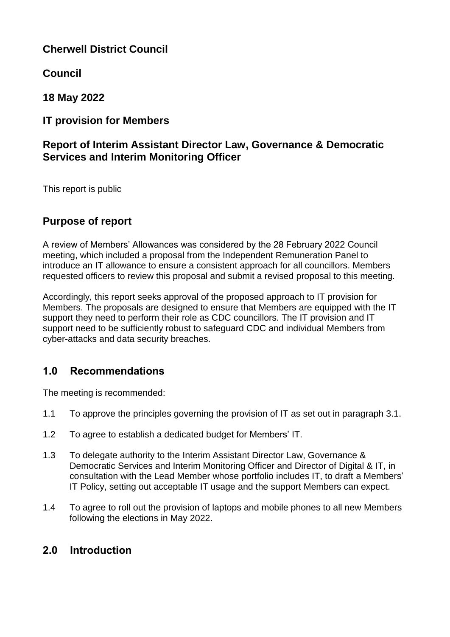## **Cherwell District Council**

**Council** 

**18 May 2022**

## **IT provision for Members**

## **Report of Interim Assistant Director Law, Governance & Democratic Services and Interim Monitoring Officer**

This report is public

# **Purpose of report**

A review of Members' Allowances was considered by the 28 February 2022 Council meeting, which included a proposal from the Independent Remuneration Panel to introduce an IT allowance to ensure a consistent approach for all councillors. Members requested officers to review this proposal and submit a revised proposal to this meeting.

Accordingly, this report seeks approval of the proposed approach to IT provision for Members. The proposals are designed to ensure that Members are equipped with the IT support they need to perform their role as CDC councillors. The IT provision and IT support need to be sufficiently robust to safeguard CDC and individual Members from cyber-attacks and data security breaches.

## **1.0 Recommendations**

The meeting is recommended:

- 1.1 To approve the principles governing the provision of IT as set out in paragraph 3.1.
- 1.2 To agree to establish a dedicated budget for Members' IT.
- 1.3 To delegate authority to the Interim Assistant Director Law, Governance & Democratic Services and Interim Monitoring Officer and Director of Digital & IT, in consultation with the Lead Member whose portfolio includes IT, to draft a Members' IT Policy, setting out acceptable IT usage and the support Members can expect.
- 1.4 To agree to roll out the provision of laptops and mobile phones to all new Members following the elections in May 2022.

## **2.0 Introduction**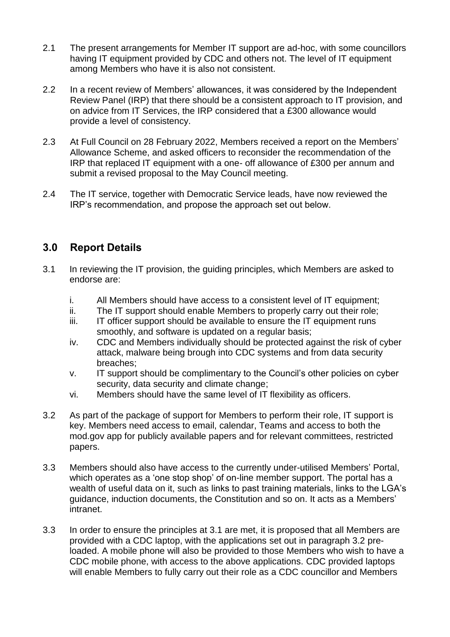- 2.1 The present arrangements for Member IT support are ad-hoc, with some councillors having IT equipment provided by CDC and others not. The level of IT equipment among Members who have it is also not consistent.
- 2.2 In a recent review of Members' allowances, it was considered by the Independent Review Panel (IRP) that there should be a consistent approach to IT provision, and on advice from IT Services, the IRP considered that a £300 allowance would provide a level of consistency.
- 2.3 At Full Council on 28 February 2022, Members received a report on the Members' Allowance Scheme, and asked officers to reconsider the recommendation of the IRP that replaced IT equipment with a one- off allowance of £300 per annum and submit a revised proposal to the May Council meeting.
- 2.4 The IT service, together with Democratic Service leads, have now reviewed the IRP's recommendation, and propose the approach set out below.

## **3.0 Report Details**

- 3.1 In reviewing the IT provision, the guiding principles, which Members are asked to endorse are:
	- i. All Members should have access to a consistent level of IT equipment;
	- ii. The IT support should enable Members to properly carry out their role;
	- iii. IT officer support should be available to ensure the IT equipment runs smoothly, and software is updated on a regular basis;
	- iv. CDC and Members individually should be protected against the risk of cyber attack, malware being brough into CDC systems and from data security breaches;
	- v. IT support should be complimentary to the Council's other policies on cyber security, data security and climate change;
	- vi. Members should have the same level of IT flexibility as officers.
- 3.2 As part of the package of support for Members to perform their role, IT support is key. Members need access to email, calendar, Teams and access to both the mod.gov app for publicly available papers and for relevant committees, restricted papers.
- 3.3 Members should also have access to the currently under-utilised Members' Portal, which operates as a 'one stop shop' of on-line member support. The portal has a wealth of useful data on it, such as links to past training materials, links to the LGA's guidance, induction documents, the Constitution and so on. It acts as a Members' intranet.
- 3.3 In order to ensure the principles at 3.1 are met, it is proposed that all Members are provided with a CDC laptop, with the applications set out in paragraph 3.2 preloaded. A mobile phone will also be provided to those Members who wish to have a CDC mobile phone, with access to the above applications. CDC provided laptops will enable Members to fully carry out their role as a CDC councillor and Members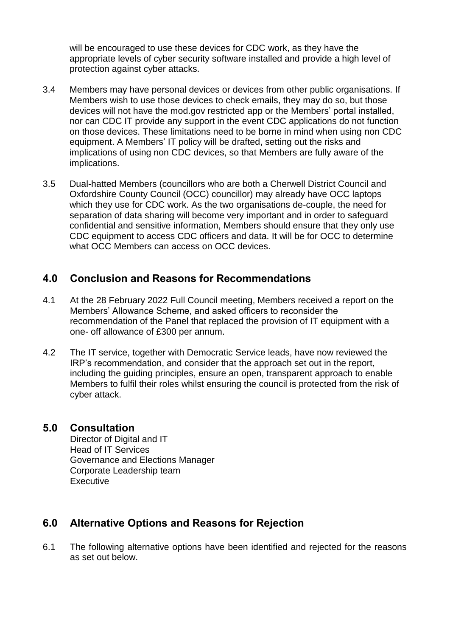will be encouraged to use these devices for CDC work, as they have the appropriate levels of cyber security software installed and provide a high level of protection against cyber attacks.

- 3.4 Members may have personal devices or devices from other public organisations. If Members wish to use those devices to check emails, they may do so, but those devices will not have the mod.gov restricted app or the Members' portal installed, nor can CDC IT provide any support in the event CDC applications do not function on those devices. These limitations need to be borne in mind when using non CDC equipment. A Members' IT policy will be drafted, setting out the risks and implications of using non CDC devices, so that Members are fully aware of the implications.
- 3.5 Dual-hatted Members (councillors who are both a Cherwell District Council and Oxfordshire County Council (OCC) councillor) may already have OCC laptops which they use for CDC work. As the two organisations de-couple, the need for separation of data sharing will become very important and in order to safeguard confidential and sensitive information, Members should ensure that they only use CDC equipment to access CDC officers and data. It will be for OCC to determine what OCC Members can access on OCC devices.

## **4.0 Conclusion and Reasons for Recommendations**

- 4.1 At the 28 February 2022 Full Council meeting, Members received a report on the Members' Allowance Scheme, and asked officers to reconsider the recommendation of the Panel that replaced the provision of IT equipment with a one- off allowance of £300 per annum.
- 4.2 The IT service, together with Democratic Service leads, have now reviewed the IRP's recommendation, and consider that the approach set out in the report, including the guiding principles, ensure an open, transparent approach to enable Members to fulfil their roles whilst ensuring the council is protected from the risk of cyber attack.

### **5.0 Consultation**

Director of Digital and IT Head of IT Services Governance and Elections Manager Corporate Leadership team Executive

## **6.0 Alternative Options and Reasons for Rejection**

6.1 The following alternative options have been identified and rejected for the reasons as set out below.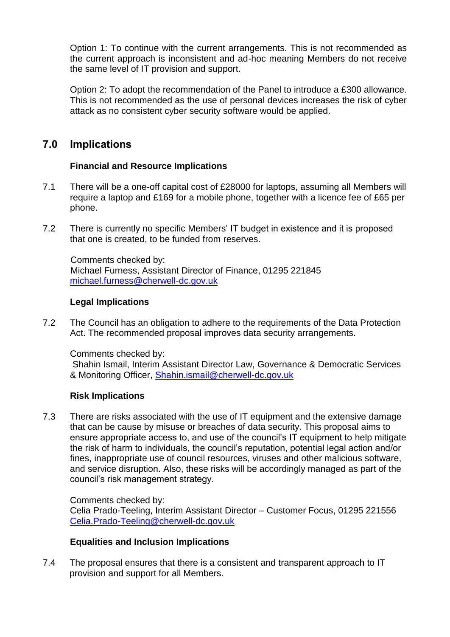Option 1: To continue with the current arrangements. This is not recommended as the current approach is inconsistent and ad-hoc meaning Members do not receive the same level of IT provision and support.

Option 2: To adopt the recommendation of the Panel to introduce a £300 allowance. This is not recommended as the use of personal devices increases the risk of cyber attack as no consistent cyber security software would be applied.

### **7.0 Implications**

### **Financial and Resource Implications**

- 7.1 There will be a one-off capital cost of £28000 for laptops, assuming all Members will require a laptop and £169 for a mobile phone, together with a licence fee of £65 per phone.
- 7.2 There is currently no specific Members' IT budget in existence and it is proposed that one is created, to be funded from reserves.

Comments checked by: Michael Furness, Assistant Director of Finance, 01295 221845 [michael.furness@cherwell-dc.gov.uk](mailto:michael.furness@cherwell-dc.gov.uk)

#### **Legal Implications**

7.2 The Council has an obligation to adhere to the requirements of the Data Protection Act. The recommended proposal improves data security arrangements.

Comments checked by:

Shahin Ismail, Interim Assistant Director Law, Governance & Democratic Services & Monitoring Officer, [Shahin.ismail@cherwell-dc.gov.uk](mailto:Shahin.ismail@cherwell-dc.gov.uk)

### **Risk Implications**

7.3 There are risks associated with the use of IT equipment and the extensive damage that can be cause by misuse or breaches of data security. This proposal aims to ensure appropriate access to, and use of the council's IT equipment to help mitigate the risk of harm to individuals, the council's reputation, potential legal action and/or fines, inappropriate use of council resources, viruses and other malicious software, and service disruption. Also, these risks will be accordingly managed as part of the council's risk management strategy.

Comments checked by: Celia Prado-Teeling, Interim Assistant Director – Customer Focus, 01295 221556 [Celia.Prado-Teeling@cherwell-dc.gov.uk](mailto:Celia.Prado-Teeling@cherwell-dc.gov.uk)

#### **Equalities and Inclusion Implications**

7.4 The proposal ensures that there is a consistent and transparent approach to IT provision and support for all Members.